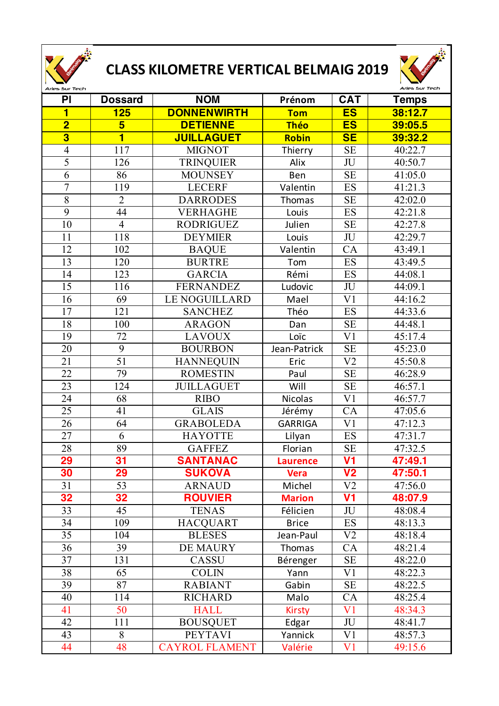

## **CLASS KILOMETRE VERTICAL BELMAIG 2019**



| PI                      | <b>Dossard</b>  | <b>NOM</b>            | Prénom          | <b>CAT</b>     | <b>Temps</b> |
|-------------------------|-----------------|-----------------------|-----------------|----------------|--------------|
| $\blacksquare$          | 125             | <b>DONNENWIRTH</b>    | <b>Tom</b>      | <b>ES</b>      | 38:12.7      |
| $\overline{\mathbf{2}}$ | $5\overline{}$  | <b>DETIENNE</b>       | <b>Théo</b>     | <b>ES</b>      | 39:05.5      |
| $\overline{\mathbf{3}}$ | 1               | <b>JUILLAGUET</b>     | Robin           | SE             | 39:32.2      |
| $\overline{4}$          | 117             | <b>MIGNOT</b>         | Thierry         | <b>SE</b>      | 40:22.7      |
| 5                       | 126             | <b>TRINQUIER</b>      | Alix            | JU             | 40:50.7      |
| 6                       | 86              | <b>MOUNSEY</b>        | Ben             | <b>SE</b>      | 41:05.0      |
| $\overline{7}$          | 119             | <b>LECERF</b>         | Valentin        | ES             | 41:21.3      |
| 8                       | $\overline{2}$  | <b>DARRODES</b>       | Thomas          | <b>SE</b>      | 42:02.0      |
| 9                       | 44              | <b>VERHAGHE</b>       | Louis           | ES             | 42:21.8      |
| 10                      | $\overline{4}$  | <b>RODRIGUEZ</b>      | Julien          | <b>SE</b>      | 42:27.8      |
| 11                      | 118             | <b>DEYMIER</b>        | Louis           | JU             | 42:29.7      |
| 12                      | 102             | <b>BAQUE</b>          | Valentin        | CA             | 43:49.1      |
| 13                      | 120             | <b>BURTRE</b>         | Tom             | ES             | 43:49.5      |
| 14                      | 123             | <b>GARCIA</b>         | Rémi            | ES             | 44:08.1      |
| 15                      | 116             | <b>FERNANDEZ</b>      | Ludovic         | JU             | 44:09.1      |
| 16                      | 69              | <b>LE NOGUILLARD</b>  | Mael            | V <sub>1</sub> | 44:16.2      |
| 17                      | 121             | <b>SANCHEZ</b>        | Théo            | <b>ES</b>      | 44:33.6      |
| 18                      | 100             | <b>ARAGON</b>         | Dan             | <b>SE</b>      | 44:48.1      |
| 19                      | 72              | <b>LAVOUX</b>         | Loïc            | V <sub>1</sub> | 45:17.4      |
| 20                      | 9               | <b>BOURBON</b>        | Jean-Patrick    | <b>SE</b>      | 45:23.0      |
| 21                      | 51              | <b>HANNEQUIN</b>      | Eric            | V <sub>2</sub> | 45:50.8      |
| 22                      | 79              | <b>ROMESTIN</b>       | Paul            | <b>SE</b>      | 46:28.9      |
| 23                      | 124             | <b>JUILLAGUET</b>     | Will            | <b>SE</b>      | 46:57.1      |
| 24                      | 68              | <b>RIBO</b>           | <b>Nicolas</b>  | V <sub>1</sub> | 46:57.7      |
| 25                      | 41              | <b>GLAIS</b>          | Jérémy          | CA             | 47:05.6      |
| 26                      | 64              | <b>GRABOLEDA</b>      | <b>GARRIGA</b>  | V <sub>1</sub> | 47:12.3      |
| 27                      | 6               | <b>HAYOTTE</b>        | Lilyan          | ES             | 47:31.7      |
| 28                      | 89              | <b>GAFFEZ</b>         | Florian         | <b>SE</b>      | 47:32.5      |
| <b>29</b>               | 31              | <b>SANTANAC</b>       | <b>Laurence</b> | V <sub>1</sub> | 47:49.1      |
| 30                      | 29              | <b>SUKOVA</b>         | <b>Vera</b>     | V <sub>2</sub> | 47:50.1      |
| 31                      | $\overline{53}$ | <b>ARNAUD</b>         | Michel          | V <sub>2</sub> | 47:56.0      |
| 32                      | 32              | <b>ROUVIER</b>        | <b>Marion</b>   | V <sub>1</sub> | 48:07.9      |
| 33                      | 45              | <b>TENAS</b>          | Félicien        | JU             | 48:08.4      |
| 34                      | 109             | <b>HACQUART</b>       | <b>Brice</b>    | <b>ES</b>      | 48:13.3      |
| 35                      | 104             | <b>BLESES</b>         | Jean-Paul       | V <sub>2</sub> | 48:18.4      |
| 36                      | 39              | <b>DE MAURY</b>       | Thomas          | CA             | 48:21.4      |
| 37                      | 131             | CASSU                 | Bérenger        | <b>SE</b>      | 48:22.0      |
| 38                      | 65              | <b>COLIN</b>          | Yann            | V1             | 48:22.3      |
| 39                      | 87              | <b>RABIANT</b>        | Gabin           | <b>SE</b>      | 48:22.5      |
| 40                      | 114             | <b>RICHARD</b>        | Malo            | CA             | 48:25.4      |
| 41                      | 50              | <b>HALL</b>           | <b>Kirsty</b>   | V <sub>1</sub> | 48:34.3      |
| 42                      | 111             | <b>BOUSQUET</b>       | Edgar           | JU             | 48:41.7      |
| 43                      | 8               | <b>PEYTAVI</b>        | Yannick         | V <sub>1</sub> | 48:57.3      |
| 44                      | 48              | <b>CAYROL FLAMENT</b> | Valérie         | V1             | 49:15.6      |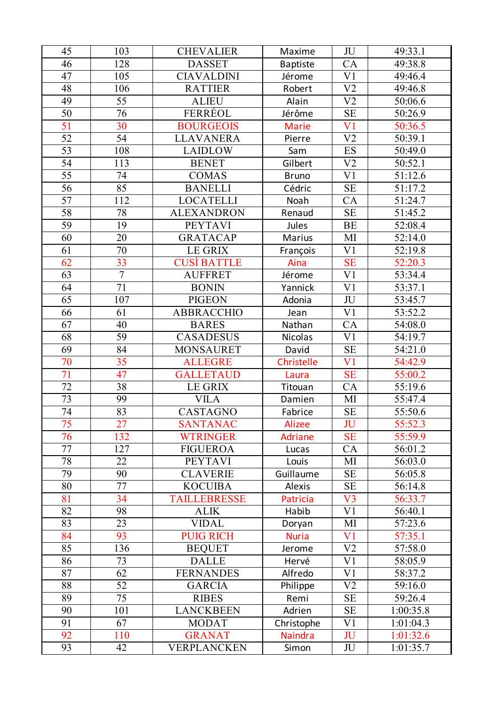| 45              | 103            | <b>CHEVALIER</b>    | Maxime          | JU             | 49:33.1              |
|-----------------|----------------|---------------------|-----------------|----------------|----------------------|
| 46              | 128            | <b>DASSET</b>       | <b>Baptiste</b> | CA             | 49:38.8              |
| 47              | 105            | <b>CIAVALDINI</b>   | Jérome          | V <sub>1</sub> | 49:46.4              |
| 48              | 106            | <b>RATTIER</b>      | Robert          | V <sub>2</sub> | 49:46.8              |
| 49              | 55             | <b>ALIEU</b>        | Alain           | V <sub>2</sub> | 50:06.6              |
| 50              | 76             | FERRÉOL             | Jérôme          | <b>SE</b>      | 50:26.9              |
| 51              | 30             | <b>BOURGEOIS</b>    | <b>Marie</b>    | V <sub>1</sub> | 50:36.5              |
| 52              | 54             | <b>LLAVANERA</b>    | Pierre          | V <sub>2</sub> | 50:39.1              |
| 53              | 108            | <b>LAIDLOW</b>      | Sam             | ES             | 50:49.0              |
| 54              | 113            | <b>BENET</b>        | Gilbert         | V <sub>2</sub> | 50:52.1              |
| 55              | 74             | <b>COMAS</b>        | <b>Bruno</b>    | V <sub>1</sub> | 51:12.6              |
| 56              | 85             | <b>BANELLI</b>      | Cédric          | <b>SE</b>      | 51:17.2              |
| 57              | 112            | <b>LOCATELLI</b>    | Noah            | CA             | 51:24.7              |
| 58              | 78             | <b>ALEXANDRON</b>   | Renaud          | <b>SE</b>      | 51:45.2              |
| 59              | 19             | <b>PEYTAVI</b>      | Jules           | <b>BE</b>      | 52:08.4              |
| 60              | 20             | <b>GRATACAP</b>     | <b>Marius</b>   | MI             | 52:14.0              |
| 61              | $70\,$         | LE GRIX             | François        | V <sub>1</sub> | 52:19.8              |
| 62              | 33             | <b>CUSÍ BATTLE</b>  | Aina            | <b>SE</b>      | 52:20.3              |
| $\overline{63}$ | $\overline{7}$ | <b>AUFFRET</b>      | Jérome          | V <sub>1</sub> | 53:34.4              |
| 64              | 71             | <b>BONIN</b>        | Yannick         | V <sub>1</sub> | 53:37.1              |
| 65              | 107            | <b>PIGEON</b>       | Adonia          | JU             | 53:45.7              |
| 66              | 61             | <b>ABBRACCHIO</b>   | Jean            | V <sub>1</sub> | 53:52.2              |
| 67              | 40             | <b>BARES</b>        | Nathan          | CA             | 54:08.0              |
| 68              | 59             | <b>CASADESUS</b>    | <b>Nicolas</b>  | V <sub>1</sub> | 54:19.7              |
| 69              | 84             | <b>MONSAURET</b>    | David           | <b>SE</b>      | $\overline{5}4:21.0$ |
| 70              | 35             | <b>ALLEGRE</b>      | Christelle      | V <sub>1</sub> | 54:42.9              |
| 71              | 47             | <b>GALLETAUD</b>    | Laura           | <b>SE</b>      | 55:00.2              |
| 72              | 38             | <b>LE GRIX</b>      | Titouan         | CA             | 55:19.6              |
| 73              | 99             | <b>VILA</b>         | Damien          | MI             | 55:47.4              |
| 74              | 83             | CASTAGNO            | Fabrice         | <b>SE</b>      | 55:50.6              |
| 75              | 27             | <b>SANTANAC</b>     | <b>Alizee</b>   | JU             | 55:52.3              |
| 76              | 132            | <b>WTRINGER</b>     | <b>Adriane</b>  | <b>SE</b>      | 55:59.9              |
| 77              | 127            | <b>FIGUEROA</b>     | Lucas           | CA             | 56:01.2              |
| 78              | 22             | <b>PEYTAVI</b>      | Louis           | MI             | 56:03.0              |
| 79              | 90             | <b>CLAVERIE</b>     | Guillaume       | <b>SE</b>      | 56:05.8              |
| 80              | 77             | <b>KOCUIBA</b>      | <b>Alexis</b>   | <b>SE</b>      | 56:14.8              |
| 81              | 34             | <b>TAILLEBRESSE</b> | <b>Patricia</b> | V3             | 56:33.7              |
| 82              | 98             | <b>ALIK</b>         | Habib           | V <sub>1</sub> | 56:40.1              |
| 83              | 23             | <b>VIDAL</b>        | Doryan          | MI             | 57:23.6              |
| 84              | 93             | <b>PUIG RICH</b>    | <b>Nuria</b>    | V <sub>1</sub> | 57:35.1              |
| 85              | 136            | <b>BEQUET</b>       | Jerome          | V <sub>2</sub> | 57:58.0              |
| 86              | 73             | <b>DALLE</b>        | Hervé           | V <sub>1</sub> | 58:05.9              |
| 87              | 62             | <b>FERNANDES</b>    | Alfredo         | V <sub>1</sub> | 58:37.2              |
| 88              | 52             | <b>GARCIA</b>       | Philippe        | V <sub>2</sub> | 59:16.0              |
| 89              | 75             | <b>RIBES</b>        | Remi            | <b>SE</b>      | 59:26.4              |
| 90              | 101            | <b>LANCKBEEN</b>    | Adrien          | <b>SE</b>      | 1:00:35.8            |
| 91              | 67             | <b>MODAT</b>        | Christophe      | V <sub>1</sub> | 1:01:04.3            |
| 92              | 110            | <b>GRANAT</b>       | <b>Naindra</b>  | JU             | 1:01:32.6            |
| 93              | 42             | VERPLANCKEN         | Simon           | JU             | 1:01:35.7            |